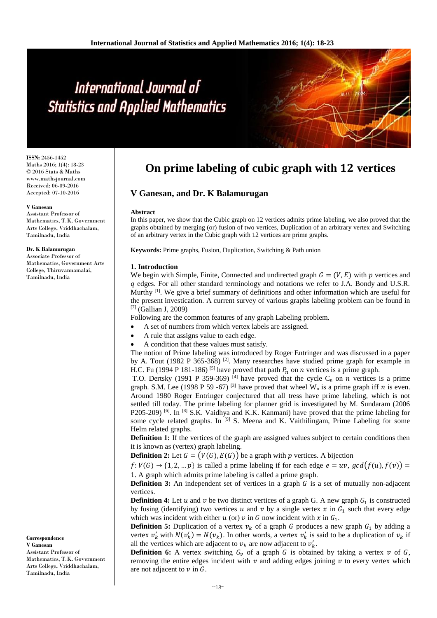**ISSN:** 2456-1452 Maths 2016; 1(4): 18-23 © 2016 Stats & Maths www.mathsjournal.com Received: 06-09-2016 Accepted: 07-10-2016

#### **V Ganesan**

Assistant Professor of Mathematics, T.K. Government Arts College, Vriddhachalam, Tamilnadu, India

#### **Dr. K Balamurugan**

Associate Professor of Mathematics, Government Arts College, Thiruvannamalai, Tamilnadu, India

#### **Correspondence V Ganesan**

Assistant Professor of Mathematics, T.K. Government Arts College, Vriddhachalam, Tamilnadu, India

# **On prime labeling of cubic graph with 12 vertices**

# **V Ganesan, and Dr. K Balamurugan**

#### **Abstract**

In this paper, we show that the Cubic graph on 12 vertices admits prime labeling, we also proved that the graphs obtained by merging (or) fusion of two vertices, Duplication of an arbitrary vertex and Switching of an arbitrary vertex in the Cubic graph with 12 vertices are prime graphs.

**Keywords:** Prime graphs, Fusion, Duplication, Switching & Path union

#### **1. Introduction**

We begin with Simple, Finite, Connected and undirected graph  $G = (V, E)$  with p vertices and q edges. For all other standard terminology and notations we refer to J.A. Bondy and U.S.R. Murthy <sup>[1]</sup>. We give a brief summary of definitions and other information which are useful for the present investication. A current survey of various graphs labeling problem can be found in [7] (Gallian J, 2009)

Following are the common features of any graph Labeling problem.

- A set of numbers from which vertex labels are assigned.
- A rule that assigns value to each edge.
- A condition that these values must satisfy.

The notion of Prime labeling was introduced by Roger Entringer and was discussed in a paper by A. Tout (1982 P 365-368)<sup>[2]</sup>. Many researches have studied prime graph for example in H.C. Fu (1994 P 181-186) <sup>[5]</sup> have proved that path  $P_n$  on  $n$  vertices is a prime graph.

T.O. Dertsky (1991 P 359-369) <sup>[4]</sup> have proved that the cycle  $C_n$  on *n* vertices is a prime graph. S.M. Lee (1998 P 59 -67) <sup>[3]</sup> have proved that wheel W<sub>n</sub> is a prime graph iff *n* is even. Around 1980 Roger Entringer conjectured that all tress have prime labeling, which is not settled till today. The prime labeling for planner grid is investigated by M. Sundaram (2006 P205-209)<sup>[6]</sup>. In <sup>[8]</sup> S.K. Vaidhya and K.K. Kanmani) have proved that the prime labeling for some cycle related graphs. In <sup>[9]</sup> S. Meena and K. Vaithilingam, Prime Labeling for some Helm related graphs.

**Definition 1:** If the vertices of the graph are assigned values subject to certain conditions then it is known as (vertex) graph labeling.

**Definition 2:** Let  $G = (V(G), E(G))$  be a graph with p vertices. A bijection

 $f: V(G) \rightarrow \{1, 2, \dots p\}$  is called a prime labeling if for each edge  $e = uv$ ,  $gcd(f(u), f(v)) =$ 1. A graph which admits prime labeling is called a prime graph.

**Definition 3:** An independent set of vertices in a graph  $G$  is a set of mutually non-adjacent vertices.

**Definition 4:** Let  $u$  and  $v$  be two distinct vertices of a graph G. A new graph  $G_1$  is constructed by fusing (identifying) two vertices u and v by a single vertex x in  $G_1$  such that every edge which was incident with either u (or) v in G now incident with x in  $G_1$ .

**Definition 5:** Duplication of a vertex  $v_k$  of a graph G produces a new graph  $G_1$  by adding a vertex  $v'_k$  with  $N(v'_k) = N(v_k)$ . In other words, a vertex  $v'_k$  is said to be a duplication of  $v_k$  if all the vertices which are adjacent to  $v_k$  are now adjacent to  $v'_k$ .

**Definition 6:** A vertex switching  $G_v$  of a graph G is obtained by taking a vertex v of G, removing the entire edges incident with  $\nu$  and adding edges joining  $\nu$  to every vertex which are not adjacent to  $\nu$  in  $G$ .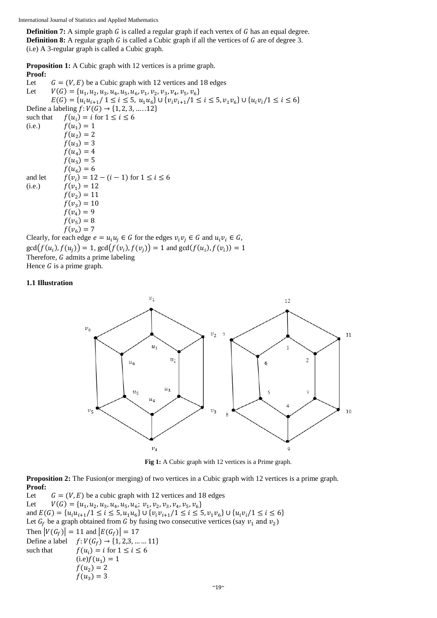**Definition 7:** A simple graph  $G$  is called a regular graph if each vertex of  $G$  has an equal degree. **Definition 8:** A regular graph  $G$  is called a Cubic graph if all the vertices of  $G$  are of degree 3. (i.e) A 3-regular graph is called a Cubic graph.

**Proposition 1:** A Cubic graph with 12 vertices is a prime graph.

**Proof:** Let  $G = (V, E)$  be a Cubic graph with 12 vertices and 18 edges Let  $V(G) = {u_1, u_2, u_3, u_4, u_5, u_6, v_1, v_2, v_3, v_4, v_5, v_6}$  $E(G) = \{u_iu_{i+1}/1 \le i \le 5, u_1u_6\} \cup \{v_iv_{i+1}/1 \le i \le 5, v_1v_6\} \cup \{u_iv_i/1 \le i \le 6\}$ Define a labeling  $f: V(G) \to \{1, 2, 3, ..., 12\}$ such that  $f(u_i) = i$  for  $1 \leq i \leq 6$ (i.e.)  $f(u_1) = 1$  $f(u_2) = 2$  $f(u_3) = 3$  $f(u_4) = 4$  $f(u_5) = 5$  $f(u_6) = 6$ and let  $f(v_i) = 12 - (i - 1)$  for  $1 \le i \le 6$ (i.e.)  $f(v_1) = 12$  $f(v_2) = 11$  $f(v_3) = 10$  $f(v_4) = 9$  $f(v_5) = 8$  $f(v_6) = 7$ Clearly, for each edge  $e = u_i u_i \in G$  for the edges  $v_i v_i \in G$  and  $u_i v_i \in G$ ,

 $gcd(f(u_i), f(u_j)) = 1, gcd(f(v_i), f(v_j)) = 1$  and  $gcd(f(u_i), f(v_i)) = 1$ Therefore,  $G$  admits a prime labeling Hence  $G$  is a prime graph.

# **1.1 Illustration**



**Fig 1:** A Cubic graph with 12 vertices is a Prime graph.

**Proposition 2:** The Fusion(or merging) of two vertices in a Cubic graph with 12 vertices is a prime graph. **Proof:**

Let  $G = (V, E)$  be a cubic graph with 12 vertices and 18 edges Let  $V(G) = {u_1, u_2, u_3, u_4, u_5, u_6; v_1, v_2, v_3, v_4, v_5, v_6}$ and  $E(G) = \{u_iu_{i+1}/1 \leq i \leq 5, u_1u_6\} \cup \{v_iv_{i+1}/1 \leq i \leq 5, v_1v_6\} \cup \{u_iv_i/1 \leq i \leq 6\}$ Let  $G_f$  be a graph obtained from G by fusing two consecutive vertices (say  $v_1$  and  $v_2$ ) Then  $|V(G_f)| = 11$  and  $|E(G_f)| = 17$ Define a label  $f: V(G_f) \to \{1, 2, 3, \dots \dots 11\}$ such that  $f(u_i) = i$  for  $1 \leq i \leq 6$  $(i.e) f(u_1) = 1$  $f(u_2) = 2$  $f(u_3) = 3$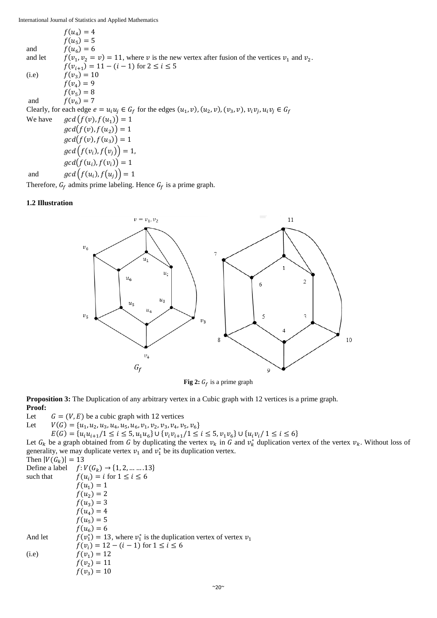$f(u_4) = 4$  $f(u_5) = 5$ and  $f(u_6) = 6$ and let  $, v_2 = v$  = 11, where v is the new vertex after fusion of the vertices  $v_1$  and  $v_2$ .  $f(v_{i+1}) = 11 - (i - 1)$  for  $2 \le i \le 5$ (i.e)  $f(v_3) = 10$  $f(v_4) = 9$  $f(v_5) = 8$ and  $f(v_6) = 7$ Clearly, for each edge  $e = u_i u_j \in G_f$  for the edges  $(u_1, v)$ ,  $(u_2, v)$ ,  $(v_3, v)$ ,  $v_i v_j$ ,  $u_i v_j \in G_f$ We have  $\qquad \text{gcd}(f(v), f(u_1)) = 1$  $gcd(f(v), f(u_2)) = 1$  $gcd(f(v), f(u_3)) = 1$  $gcd(f(v_i), f(v_j)) = 1,$  $gcd(f(u_i), f(v_i)) = 1$ 

and  $\qquad \qquad gcd\left(f(u_i), f(u_j)\right) = 1$ 

Therefore,  $G_f$  admits prime labeling. Hence  $G_f$  is a prime graph.

#### **1.2 Illustration**



**Fig** 2:  $G_f$  is a prime graph

**Proposition 3:** The Duplication of any arbitrary vertex in a Cubic graph with 12 vertices is a prime graph. **Proof:**

Let  $G = (V, E)$  be a cubic graph with 12 vertices

Let  $V(G) = {u_1, u_2, u_3, u_4, u_5, u_6, v_1, v_2, v_3, v_4, v_5, v_6}$  $E(G) = \{u_iu_{i+1}/1 \leq i \leq 5, u_1u_6\} \cup \{v_iv_{i+1}/1 \leq i \leq 5, v_1v_6\} \cup \{u_iv_i/1 \leq i \leq 6\}$ 

Let  $G_k$  be a graph obtained from G by duplicating the vertex  $v_k$  in G and  $v_k^*$  duplication vertex of the vertex  $v_k$ . Without loss of generality, we may duplicate vertex  $v_1$  and  $v_1^*$  be its duplication vertex.

Then  $|V(G_k)| = 13$ Define a label  $f: V(G_k) \to \{1, 2, ..., 13\}$ such that  $f(u_i) = i$  for  $1 \le i \le 6$  $f(u_1) = 1$  $f(u_2) = 2$  $f(u_3) = 3$  $f(u_4) = 4$  $f(u_5) = 5$  $f(u_6) = 6$ And let  $v_1^*$ ) = 13, where  $v_1^*$  is the duplication vertex of vertex  $v_1$  $f(v_i) = 12 - (i - 1)$  for  $1 \le i \le 6$ (i.e)  $f(v_1) = 12$  $f(v_2) = 11$  $f(v_3) = 10$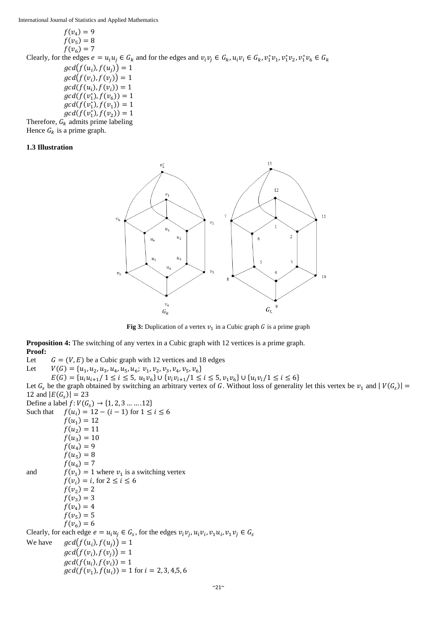$$
f(v_4) = 9
$$
  
f(v<sub>5</sub>) = 8  
f(v<sub>6</sub>) = 7

Clearly, for the edges  $e = u_i u_j \in G_k$  and for the edges and  $v_i v_j \in G_k$ ,  $u_i v_i \in G_k$ ,  $v_1^* v_1$ ,  $v_1^* v_2$ ,  $v_1^* v_6 \in G_k$  $gcd(f(u_i), f(u_j)) = 1$ 

 $gcd(f(v_i), f(v_j)) = 1$  $gcd(f(u_i), f(v_i)) = 1$  $gcd(f(v_1^*), f(v_6)) = 1$  $gcd(f(v_1^*), f(v_1)) = 1$  $gcd(f(v_1^*), f(v_2)) = 1$ 

Therefore,  $G_k$  admits prime labeling Hence  $G_k$  is a prime graph.

#### **1.3 Illustration**



**Fig 3:** Duplication of a vertex  $v_1$  in a Cubic graph *G* is a prime graph

**Proposition 4:** The switching of any vertex in a Cubic graph with 12 vertices is a prime graph. **Proof:**

Let  $G = (V, E)$  be a Cubic graph with 12 vertices and 18 edges

Let  $V(G) = {u_1, u_2, u_3, u_4, u_5, u_6; v_1, v_2, v_3, v_4, v_5, v_6}$ 

 $E(G) = \{u_iu_{i+1}/1 \le i \le 5, u_iv_6\} \cup \{v_iv_{i+1}/1 \le i \le 5, v_iv_6\} \cup \{u_iv_i/1 \le i \le 6\}$ 

Let  $G_s$  be the graph obtained by switching an arbitrary vertex of G. Without loss of generality let this vertex be  $v_1$  and  $|V(G_s)| =$ 12 and  $|E(G<sub>s</sub>)| = 23$ 

|           | Define a label $f: V(G_s) \to \{1, 2, 3 \dots \dots 12\}$                                                 |
|-----------|-----------------------------------------------------------------------------------------------------------|
| Such that | $f(u_i) = 12 - (i - 1)$ for $1 \le i \le 6$                                                               |
|           | $f(u_1) = 12$                                                                                             |
|           | $f(u_2) = 11$                                                                                             |
|           | $f(u_3)=10$                                                                                               |
|           | $f(u_4) = 9$                                                                                              |
|           | $f(u_5) = 8$                                                                                              |
|           | $f(u_{\epsilon})=7$                                                                                       |
| and       | $f(v_1) = 1$ where $v_1$ is a switching vertex                                                            |
|           | $f(v_i) = i$ , for $2 \le i \le 6$                                                                        |
|           | $f(v_2) = 2$                                                                                              |
|           | $f(v_3) = 3$                                                                                              |
|           | $f(v_A)=4$                                                                                                |
|           | $f(v_5) = 5$                                                                                              |
|           | $f(v_6) = 6$                                                                                              |
|           | Clearly, for each edge $e = u_i u_j \in G_s$ , for the edges $v_i v_j, u_i v_i, v_1 u_i, v_1 v_j \in G_s$ |
| We have   | $gcd(f(u_i), f(u_i)) = 1$                                                                                 |
|           | $gcd(f(v_i), f(v_i)) = 1$                                                                                 |
|           | $gcd(f(u_i), f(v_i)) = 1$                                                                                 |
|           | $gcd(f(v_1), f(u_i)) = 1$ for $i = 2, 3, 4, 5, 6$                                                         |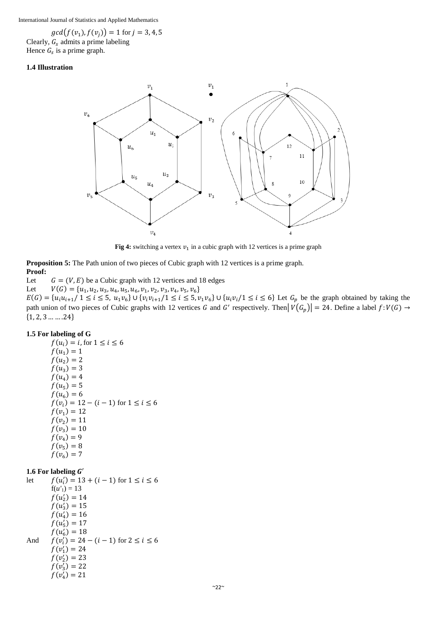$gcd(f(v_1), f(v_j)) = 1$  for  $j = 3, 4, 5$ Clearly,  $G_s$  admits a prime labeling Hence  $G_s$  is a prime graph.

#### **1.4 Illustration**



**Fig 4:** switching a vertex  $v_1$  in a cubic graph with 12 vertices is a prime graph

**Proposition 5:** The Path union of two pieces of Cubic graph with 12 vertices is a prime graph. **Proof:**

Let  $G = (V, E)$  be a Cubic graph with 12 vertices and 18 edges

Let  $V(G) = {u_1, u_2, u_3, u_4, u_5, u_6, v_1, v_2, v_3, v_4, v_5, v_6}$ 

 $E(G) = \{u_iu_{i+1}/1 \le i \le 5, u_1v_6\} \cup \{v_iv_{i+1}/1 \le i \le 5, v_1v_6\} \cup \{u_iv_i/1 \le i \le 6\}$  Let  $G_p$  be the graph obtained by taking the path union of two pieces of Cubic graphs with 12 vertices G and G' respectively. Then  $|V(G_p)| = 24$ . Define a label  $f: V(G) \to$  ${1, 2, 3 \dots 24}$ 

# **1.5 For labeling of G**

 $f(u_i) = i$ , for  $1 \le i \le 6$  $f(u_1) = 1$  $f(u_2) = 2$  $f(u_3) = 3$  $f(u_4) = 4$  $f(u_5) = 5$  $f(u_6) = 6$  $f(v_i) = 12 - (i - 1)$  for  $1 \le i \le 6$  $f(v_1) = 12$  $f(v_2) = 11$  $f(v_3) = 10$  $f(v_4) = 9$  $f(v_5) = 8$  $f(v_6) = 7$ 

# **1.6 For labeling**  ′

let  $f(u'_i) = 13 + (i - 1)$  for  $1 \le i \le 6$  $f(u') = 13$  $f(u'_2) = 14$  $f(u'_3) = 15$  $f(u_4') = 16$  $f(u'_5) = 17$  $f(u'_6) = 18$ And  $f(v_i') = 24 - (i - 1)$  for  $2 \le i \le 6$  $f(v'_1) = 24$  $f(v'_2) = 23$  $f(v_3') = 22$  $f(v_4') = 21$